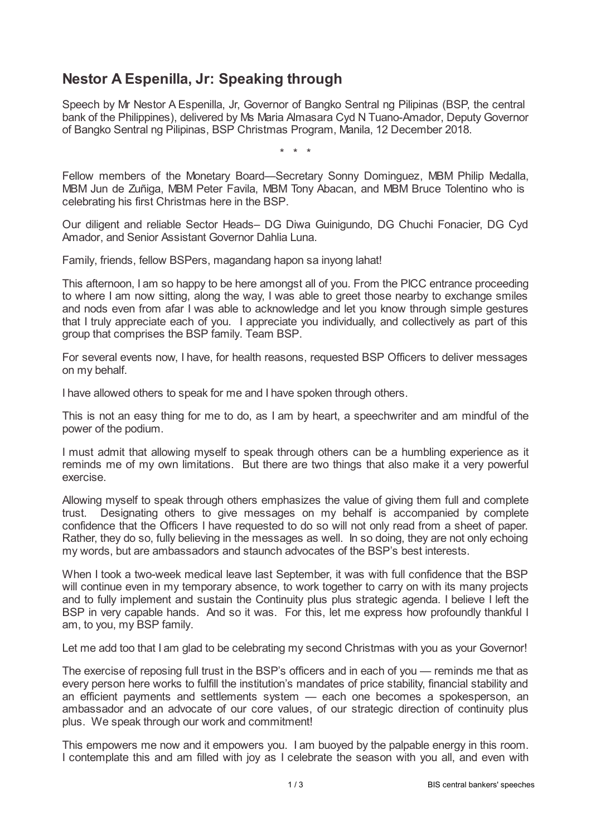## **Nestor A Espenilla, Jr: Speaking through**

Speech by Mr Nestor A Espenilla, Jr, Governor of Bangko Sentral ng Pilipinas (BSP, the central bank of the Philippines), delivered by Ms Maria Almasara Cyd N Tuano-Amador, Deputy Governor of Bangko Sentral ng Pilipinas, BSP Christmas Program, Manila, 12 December 2018.

\* \* \*

Fellow members of the Monetary Board—Secretary Sonny Dominguez, MBM Philip Medalla, MBM Jun de Zuñiga, MBM Peter Favila, MBM Tony Abacan, and MBM Bruce Tolentino who is celebrating his first Christmas here in the BSP.

Our diligent and reliable Sector Heads– DG Diwa Guinigundo, DG Chuchi Fonacier, DG Cyd Amador, and Senior Assistant Governor Dahlia Luna.

Family, friends, fellow BSPers, magandang hapon sa inyong lahat!

This afternoon, I am so happy to be here amongst all of you. From the PICC entrance proceeding to where I am now sitting, along the way, I was able to greet those nearby to exchange smiles and nods even from afar I was able to acknowledge and let you know through simple gestures that I truly appreciate each of you. I appreciate you individually, and collectively as part of this group that comprises the BSP family. Team BSP.

For several events now, I have, for health reasons, requested BSP Officers to deliver messages on my behalf.

I have allowed others to speak for me and I have spoken through others.

This is not an easy thing for me to do, as I am by heart, a speechwriter and am mindful of the power of the podium.

I must admit that allowing myself to speak through others can be a humbling experience as it reminds me of my own limitations. But there are two things that also make it a very powerful exercise.

Allowing myself to speak through others emphasizes the value of giving them full and complete trust. Designating others to give messages on my behalf is accompanied by complete confidence that the Officers I have requested to do so will not only read from a sheet of paper. Rather, they do so, fully believing in the messages as well. In so doing, they are not only echoing my words, but are ambassadors and staunch advocates of the BSP's best interests.

When I took a two-week medical leave last September, it was with full confidence that the BSP will continue even in my temporary absence, to work together to carry on with its many projects and to fully implement and sustain the Continuity plus plus strategic agenda. I believe I left the BSP in very capable hands. And so it was. For this, let me express how profoundly thankful I am, to you, my BSP family.

Let me add too that I am glad to be celebrating my second Christmas with you as your Governor!

The exercise of reposing full trust in the BSP's officers and in each of you — reminds me that as every person here works to fulfill the institution's mandates of price stability, financial stability and an efficient payments and settlements system — each one becomes a spokesperson, an ambassador and an advocate of our core values, of our strategic direction of continuity plus plus. We speak through our work and commitment!

This empowers me now and it empowers you. I am buoyed by the palpable energy in this room. I contemplate this and am filled with joy as I celebrate the season with you all, and even with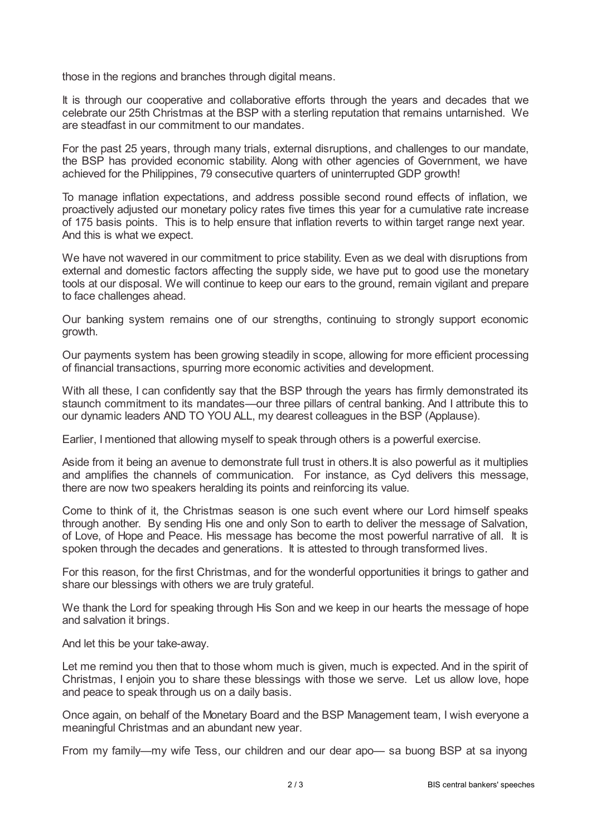those in the regions and branches through digital means.

It is through our cooperative and collaborative efforts through the years and decades that we celebrate our 25th Christmas at the BSP with a sterling reputation that remains untarnished. We are steadfast in our commitment to our mandates.

For the past 25 years, through many trials, external disruptions, and challenges to our mandate, the BSP has provided economic stability. Along with other agencies of Government, we have achieved for the Philippines, 79 consecutive quarters of uninterrupted GDP growth!

To manage inflation expectations, and address possible second round effects of inflation, we proactively adjusted our monetary policy rates five times this year for a cumulative rate increase of 175 basis points. This is to help ensure that inflation reverts to within target range next year. And this is what we expect.

We have not wavered in our commitment to price stability. Even as we deal with disruptions from external and domestic factors affecting the supply side, we have put to good use the monetary tools at our disposal. We will continue to keep our ears to the ground, remain vigilant and prepare to face challenges ahead.

Our banking system remains one of our strengths, continuing to strongly support economic growth.

Our payments system has been growing steadily in scope, allowing for more efficient processing of financial transactions, spurring more economic activities and development.

With all these, I can confidently say that the BSP through the years has firmly demonstrated its staunch commitment to its mandates—our three pillars of central banking. And I attribute this to our dynamic leaders AND TO YOU ALL, my dearest colleagues in the BSP (Applause).

Earlier, I mentioned that allowing myself to speak through others is a powerful exercise.

Aside from it being an avenue to demonstrate full trust in others.It is also powerful as it multiplies and amplifies the channels of communication. For instance, as Cyd delivers this message, there are now two speakers heralding its points and reinforcing its value.

Come to think of it, the Christmas season is one such event where our Lord himself speaks through another. By sending His one and only Son to earth to deliver the message of Salvation, of Love, of Hope and Peace. His message has become the most powerful narrative of all. It is spoken through the decades and generations. It is attested to through transformed lives.

For this reason, for the first Christmas, and for the wonderful opportunities it brings to gather and share our blessings with others we are truly grateful.

We thank the Lord for speaking through His Son and we keep in our hearts the message of hope and salvation it brings.

And let this be your take-away.

Let me remind you then that to those whom much is given, much is expected. And in the spirit of Christmas, I enjoin you to share these blessings with those we serve. Let us allow love, hope and peace to speak through us on a daily basis.

Once again, on behalf of the Monetary Board and the BSP Management team, I wish everyone a meaningful Christmas and an abundant new year.

From my family—my wife Tess, our children and our dear apo— sa buong BSP at sa inyong